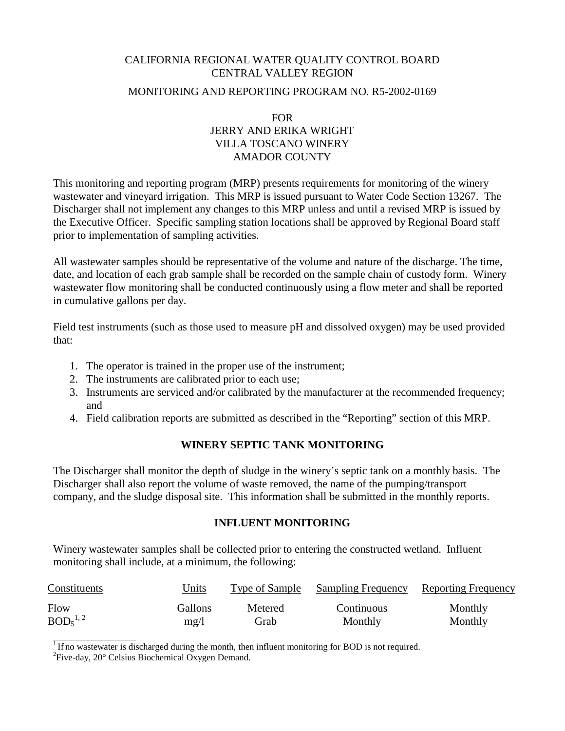# CALIFORNIA REGIONAL WATER QUALITY CONTROL BOARD CENTRAL VALLEY REGION

### MONITORING AND REPORTING PROGRAM NO. R5-2002-0169

# FOR JERRY AND ERIKA WRIGHT VILLA TOSCANO WINERY AMADOR COUNTY

This monitoring and reporting program (MRP) presents requirements for monitoring of the winery wastewater and vineyard irrigation. This MRP is issued pursuant to Water Code Section 13267. The Discharger shall not implement any changes to this MRP unless and until a revised MRP is issued by the Executive Officer. Specific sampling station locations shall be approved by Regional Board staff prior to implementation of sampling activities.

All wastewater samples should be representative of the volume and nature of the discharge. The time, date, and location of each grab sample shall be recorded on the sample chain of custody form. Winery wastewater flow monitoring shall be conducted continuously using a flow meter and shall be reported in cumulative gallons per day.

Field test instruments (such as those used to measure pH and dissolved oxygen) may be used provided that:

- 1. The operator is trained in the proper use of the instrument;
- 2. The instruments are calibrated prior to each use;
- 3. Instruments are serviced and/or calibrated by the manufacturer at the recommended frequency; and
- 4. Field calibration reports are submitted as described in the "Reporting" section of this MRP.

# **WINERY SEPTIC TANK MONITORING**

The Discharger shall monitor the depth of sludge in the winery's septic tank on a monthly basis. The Discharger shall also report the volume of waste removed, the name of the pumping/transport company, and the sludge disposal site. This information shall be submitted in the monthly reports.

# **INFLUENT MONITORING**

Winery wastewater samples shall be collected prior to entering the constructed wetland. Influent monitoring shall include, at a minimum, the following:

| Constituents                     | Units          | Type of Sample | <b>Sampling Frequency</b> | Reporting Frequency |
|----------------------------------|----------------|----------------|---------------------------|---------------------|
| Flow                             | <b>Gallons</b> | Metered        | Continuous                | Monthly             |
| BOD <sub>5</sub> <sup>1, 2</sup> | mg/l           | Grab           | Monthly                   | Monthly             |

 $1$  If no wastewater is discharged during the month, then influent monitoring for BOD is not required.

 ${}^{2}$ Five-day, 20 ${}^{\circ}$  Celsius Biochemical Oxygen Demand.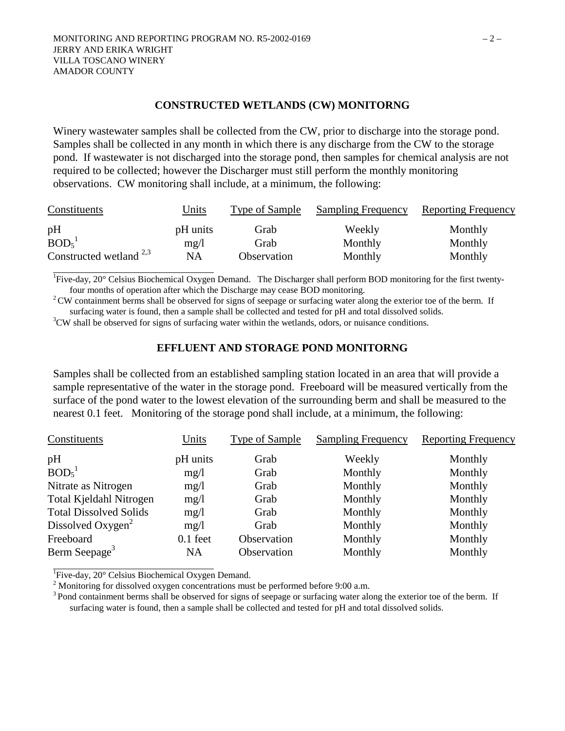#### **CONSTRUCTED WETLANDS (CW) MONITORNG**

Winery wastewater samples shall be collected from the CW, prior to discharge into the storage pond. Samples shall be collected in any month in which there is any discharge from the CW to the storage pond. If wastewater is not discharged into the storage pond, then samples for chemical analysis are not required to be collected; however the Discharger must still perform the monthly monitoring observations. CW monitoring shall include, at a minimum, the following:

| Constituents                        | Units            | Type of Sample | <b>Sampling Frequency</b> | <b>Reporting Frequency</b> |
|-------------------------------------|------------------|----------------|---------------------------|----------------------------|
| pН<br>BOD <sub>5</sub> <sup>1</sup> | pH units<br>mg/l | Grab<br>Grab   | Weekly<br>Monthly         | Monthly<br>Monthly         |
| Constructed wetland $^{2,3}$        | <b>NA</b>        | Observation    | Monthly                   | Monthly                    |

<sup>1</sup>Five-day, 20° Celsius Biochemical Oxygen Demand. The Discharger shall perform BOD monitoring for the first twentyfour months of operation after which the Discharge may cease BOD monitoring. 2 CW containment berms shall be observed for signs of seepage or surfacing water along the exterior toe of the berm. If

surfacing water is found, then a sample shall be collected and tested for pH and total dissolved solids.

 ${}^{3}$ CW shall be observed for signs of surfacing water within the wetlands, odors, or nuisance conditions.

### **EFFLUENT AND STORAGE POND MONITORNG**

Samples shall be collected from an established sampling station located in an area that will provide a sample representative of the water in the storage pond. Freeboard will be measured vertically from the surface of the pond water to the lowest elevation of the surrounding berm and shall be measured to the nearest 0.1 feet. Monitoring of the storage pond shall include, at a minimum, the following:

| Constituents                   | Units      | Type of Sample | <b>Sampling Frequency</b> | <b>Reporting Frequency</b> |
|--------------------------------|------------|----------------|---------------------------|----------------------------|
| pH                             | pH units   | Grab           | Weekly                    | Monthly                    |
| BOD <sub>5</sub> <sup>1</sup>  | mg/l       | Grab           | Monthly                   | Monthly                    |
| Nitrate as Nitrogen            | mg/1       | Grab           | Monthly                   | Monthly                    |
| <b>Total Kjeldahl Nitrogen</b> | mg/l       | Grab           | Monthly                   | Monthly                    |
| <b>Total Dissolved Solids</b>  | mg/l       | Grab           | Monthly                   | Monthly                    |
| Dissolved Oxygen <sup>2</sup>  | mg/l       | Grab           | Monthly                   | Monthly                    |
| Freeboard                      | $0.1$ feet | Observation    | Monthly                   | Monthly                    |
| Berm Seepage <sup>3</sup>      | NA         | Observation    | Monthly                   | Monthly                    |

<sup>1</sup>Five-day, 20° Celsius Biochemical Oxygen Demand.

<sup>2</sup> Monitoring for dissolved oxygen concentrations must be performed before 9:00 a.m.

<sup>3</sup> Pond containment berms shall be observed for signs of seepage or surfacing water along the exterior toe of the berm. If surfacing water is found, then a sample shall be collected and tested for pH and total dissolved solids.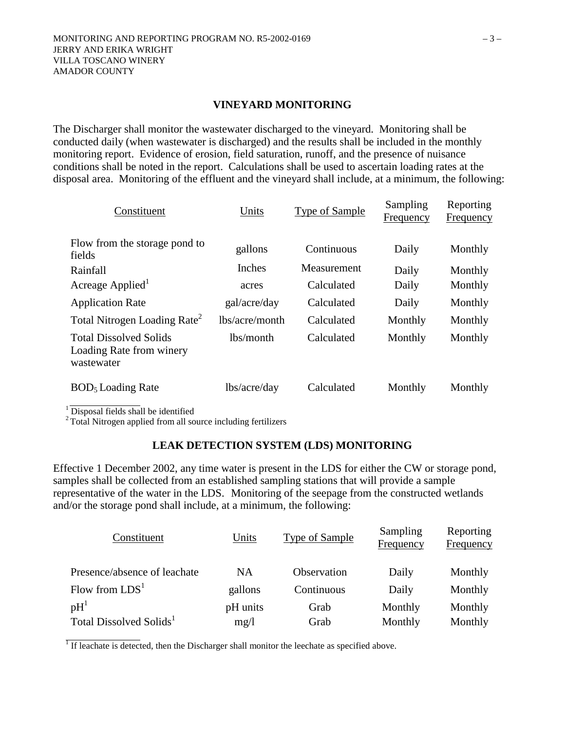### **VINEYARD MONITORING**

The Discharger shall monitor the wastewater discharged to the vineyard. Monitoring shall be conducted daily (when wastewater is discharged) and the results shall be included in the monthly monitoring report. Evidence of erosion, field saturation, runoff, and the presence of nuisance conditions shall be noted in the report. Calculations shall be used to ascertain loading rates at the disposal area. Monitoring of the effluent and the vineyard shall include, at a minimum, the following:

| Constituent                                                             | Units          | <b>Type of Sample</b> | Sampling<br>Frequency | Reporting<br>Frequency |
|-------------------------------------------------------------------------|----------------|-----------------------|-----------------------|------------------------|
| Flow from the storage pond to<br>fields                                 | gallons        | Continuous            | Daily                 | Monthly                |
| Rainfall                                                                | Inches         | Measurement           | Daily                 | Monthly                |
| Acreage Applied                                                         | acres          | Calculated            | Daily                 | Monthly                |
| <b>Application Rate</b>                                                 | gal/acre/day   | Calculated            | Daily                 | Monthly                |
| Total Nitrogen Loading Rate <sup>2</sup>                                | lbs/acre/month | Calculated            | Monthly               | Monthly                |
| <b>Total Dissolved Solids</b><br>Loading Rate from winery<br>wastewater | lbs/month      | Calculated            | Monthly               | Monthly                |
| BOD <sub>5</sub> Loading Rate                                           | lbs/acre/day   | Calculated            | Monthly               | Monthly                |

<sup>1</sup> Disposal fields shall be identified

<sup>2</sup> Total Nitrogen applied from all source including fertilizers

#### **LEAK DETECTION SYSTEM (LDS) MONITORING**

Effective 1 December 2002, any time water is present in the LDS for either the CW or storage pond, samples shall be collected from an established sampling stations that will provide a sample representative of the water in the LDS. Monitoring of the seepage from the constructed wetlands and/or the storage pond shall include, at a minimum, the following:

| Constituent                         | Units     | <b>Type of Sample</b> | Sampling<br>Frequency | Reporting<br>Frequency |
|-------------------------------------|-----------|-----------------------|-----------------------|------------------------|
| Presence/absence of leachate        | <b>NA</b> | Observation           | Daily                 | Monthly                |
| Flow from $LDS1$                    | gallons   | Continuous            | Daily                 | Monthly                |
| pH <sup>1</sup>                     | pH units  | Grab                  | Monthly               | Monthly                |
| Total Dissolved Solids <sup>1</sup> | mg/1      | Grab                  | Monthly               | Monthly                |

<sup>1</sup> If leachate is detected, then the Discharger shall monitor the leechate as specified above.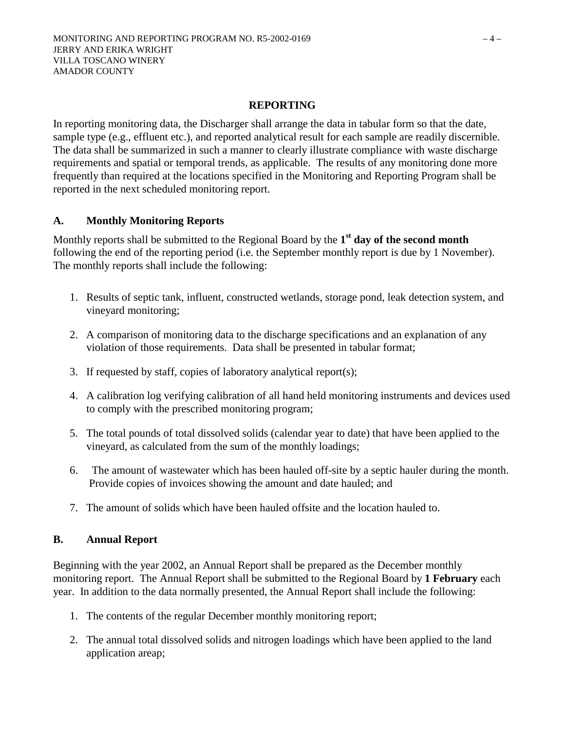### **REPORTING**

In reporting monitoring data, the Discharger shall arrange the data in tabular form so that the date, sample type (e.g., effluent etc.), and reported analytical result for each sample are readily discernible. The data shall be summarized in such a manner to clearly illustrate compliance with waste discharge requirements and spatial or temporal trends, as applicable. The results of any monitoring done more frequently than required at the locations specified in the Monitoring and Reporting Program shall be reported in the next scheduled monitoring report.

### **A. Monthly Monitoring Reports**

Monthly reports shall be submitted to the Regional Board by the **1st day of the second month** following the end of the reporting period (i.e. the September monthly report is due by 1 November). The monthly reports shall include the following:

- 1. Results of septic tank, influent, constructed wetlands, storage pond, leak detection system, and vineyard monitoring;
- 2. A comparison of monitoring data to the discharge specifications and an explanation of any violation of those requirements. Data shall be presented in tabular format;
- 3. If requested by staff, copies of laboratory analytical report(s);
- 4. A calibration log verifying calibration of all hand held monitoring instruments and devices used to comply with the prescribed monitoring program;
- 5. The total pounds of total dissolved solids (calendar year to date) that have been applied to the vineyard, as calculated from the sum of the monthly loadings;
- 6. The amount of wastewater which has been hauled off-site by a septic hauler during the month. Provide copies of invoices showing the amount and date hauled; and
- 7. The amount of solids which have been hauled offsite and the location hauled to.

# **B. Annual Report**

Beginning with the year 2002, an Annual Report shall be prepared as the December monthly monitoring report. The Annual Report shall be submitted to the Regional Board by **1 February** each year. In addition to the data normally presented, the Annual Report shall include the following:

- 1. The contents of the regular December monthly monitoring report;
- 2. The annual total dissolved solids and nitrogen loadings which have been applied to the land application areap;